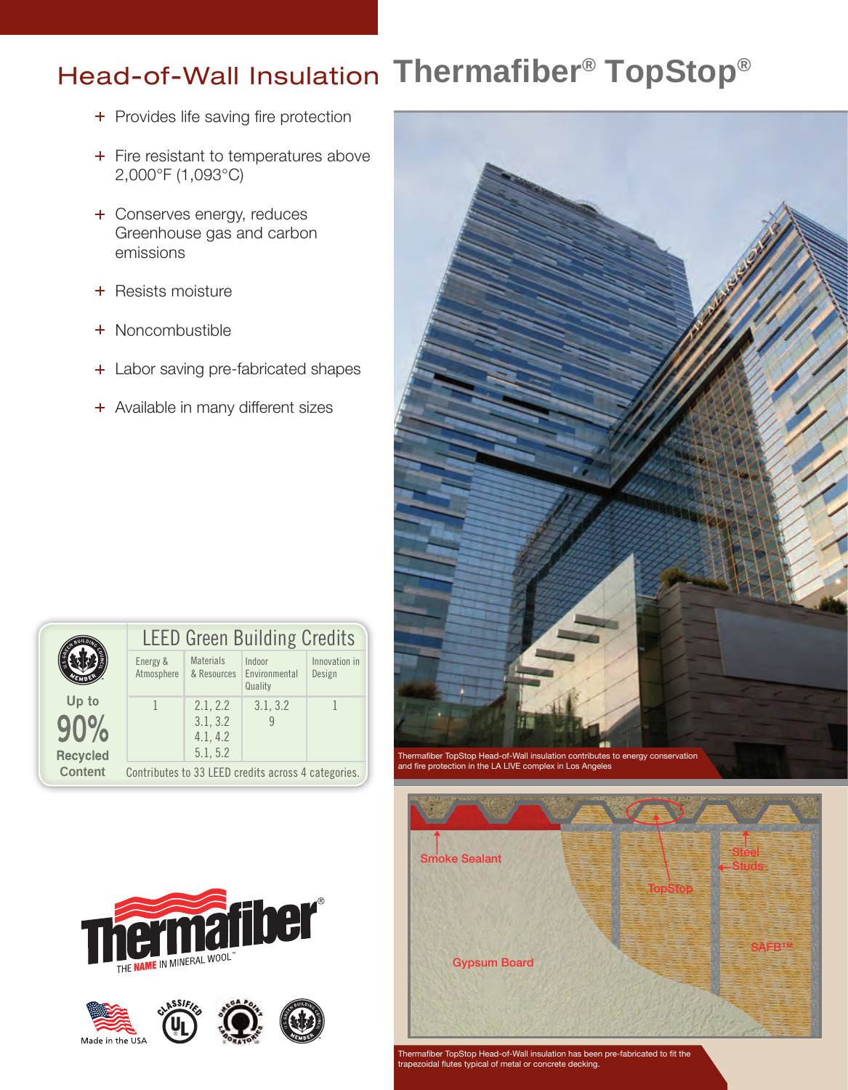# **Thermafiber® TopStop®** Head-of-Wall Insulation

- + Provides life saving fire protection
- + Fire resistant to temperatures above 2,000°F (1,093°C)
- + Conserves energy, reduces Greenhouse gas and carbon emissions
- + Resists moisture
- + Noncombustible
- + Labor saving pre-fabricated shapes
- + Available in many different sizes

|                 | <b>LEED Green Building Credits</b>                  |                                 |                                    |                         |  |  |
|-----------------|-----------------------------------------------------|---------------------------------|------------------------------------|-------------------------|--|--|
|                 | Energy &<br>Atmosphere                              | <b>Materials</b><br>& Resources | Indoor<br>Environmental<br>Quality | Innovation in<br>Design |  |  |
| Up to           |                                                     | 2.1, 2.2                        | 3.1, 3.2                           |                         |  |  |
|                 |                                                     | 3.1, 3.2                        |                                    |                         |  |  |
|                 |                                                     | 4.1, 4.2                        |                                    |                         |  |  |
| <b>Recycled</b> |                                                     | 5.1, 5.2                        |                                    |                         |  |  |
| <b>Content</b>  | Contributes to 33 LEED credits across 4 categories. |                                 |                                    |                         |  |  |







Thermafiber TopStop Head-of-Wall insulation has been pre-fabricated to fit the trapezoidal flutes typical of metal or concrete decking.